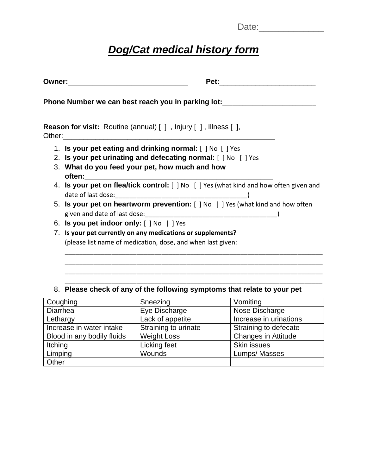| Date: |
|-------|
|-------|

## *Dog/Cat medical history form*

|  | Pet:<br>Owner:__________________________________                                                                                                                                                                                                                                                          |  |  |
|--|-----------------------------------------------------------------------------------------------------------------------------------------------------------------------------------------------------------------------------------------------------------------------------------------------------------|--|--|
|  | Phone Number we can best reach you in parking lot:                                                                                                                                                                                                                                                        |  |  |
|  | <b>Reason for visit:</b> Routine (annual) [ ], Injury [ ], Illness [ ],<br>Other: when the contract of the contract of the contract of the contract of the contract of the contract of the contract of the contract of the contract of the contract of the contract of the contract of the contract of th |  |  |
|  | 1. Is your pet eating and drinking normal: [ ] No [ ] Yes                                                                                                                                                                                                                                                 |  |  |
|  | 2. Is your pet urinating and defecating normal: [ ] No [ ] Yes                                                                                                                                                                                                                                            |  |  |
|  | 3. What do you feed your pet, how much and how                                                                                                                                                                                                                                                            |  |  |
|  | 4. Is your pet on flea/tick control: [ ] No [ ] Yes (what kind and how often given and                                                                                                                                                                                                                    |  |  |
|  | 5. Is your pet on heartworm prevention: [ ] No [ ] Yes (what kind and how often                                                                                                                                                                                                                           |  |  |
|  | 6. Is you pet indoor only: [ ] No [ ] Yes                                                                                                                                                                                                                                                                 |  |  |
|  | 7. Is your pet currently on any medications or supplements?                                                                                                                                                                                                                                               |  |  |
|  | (please list name of medication, dose, and when last given:                                                                                                                                                                                                                                               |  |  |
|  |                                                                                                                                                                                                                                                                                                           |  |  |

## 8. **Please check of any of the following symptoms that relate to your pet**

\_\_\_\_\_\_\_\_\_\_\_\_\_\_\_\_\_\_\_\_\_\_\_\_\_\_\_\_\_\_\_\_\_\_\_\_\_\_\_\_\_\_\_\_\_\_\_\_\_\_\_\_\_\_\_\_\_\_\_\_\_\_\_\_\_\_\_\_\_\_\_\_ \_\_\_\_\_\_\_\_\_\_\_\_\_\_\_\_\_\_\_\_\_\_\_\_\_\_\_\_\_\_\_\_\_\_\_\_\_\_\_\_\_\_\_\_\_\_\_\_\_\_\_\_\_\_\_\_\_\_\_\_\_\_\_\_\_\_\_\_\_\_\_\_

| Coughing                   | Sneezing             | Vomiting                   |
|----------------------------|----------------------|----------------------------|
| Diarrhea                   | Eye Discharge        | Nose Discharge             |
| Lethargy                   | Lack of appetite     | Increase in urinations     |
| Increase in water intake   | Straining to urinate | Straining to defecate      |
| Blood in any bodily fluids | <b>Weight Loss</b>   | <b>Changes in Attitude</b> |
| Itching                    | Licking feet         | <b>Skin issues</b>         |
| Limping                    | Wounds               | Lumps/Masses               |
| Other                      |                      |                            |